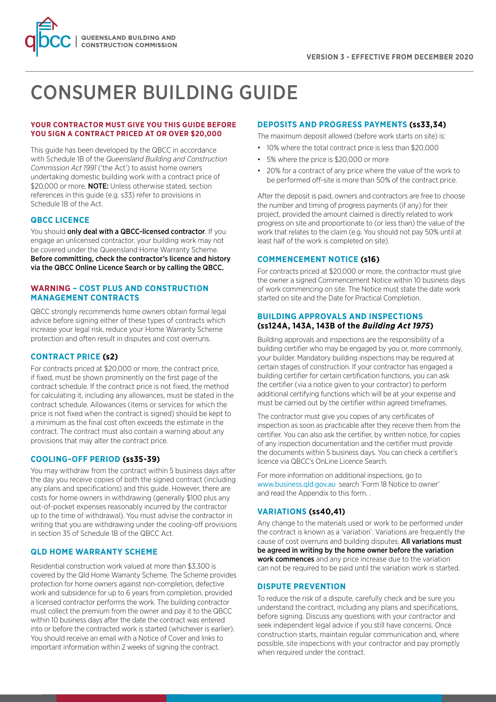

# CONSUMER BUILDING GUIDE

# **YOUR CONTRACTOR MUST GIVE YOU THIS GUIDE BEFORE YOU SIGN A CONTRACT PRICED AT OR OVER \$20,000**

This guide has been developed by the QBCC in accordance with Schedule 1B of the *Queensland Building and Construction Commission Act 1991* ('the Act') to assist home owners undertaking domestic building work with a contract price of \$20,000 or more. **NOTE:** Unless otherwise stated, section references in this guide (e.g. s33) refer to provisions in Schedule 1B of the Act.

# **QBCC LICENCE**

You should only deal with a QBCC-licensed contractor. If you engage an unlicensed contractor, your building work may not be covered under the Queensland Home Warranty Scheme. Before committing, check the contractor's licence and history via the QBCC Online Licence Search or by calling the QBCC.

# **WARNING – COST PLUS AND CONSTRUCTION MANAGEMENT CONTRACTS**

QBCC strongly recommends home owners obtain formal legal advice before signing either of these types of contracts which increase your legal risk, reduce your Home Warranty Scheme protection and often result in disputes and cost overruns.

# **CONTRACT PRICE (s2)**

For contracts priced at \$20,000 or more, the contract price, if fixed, must be shown prominently on the first page of the contract schedule. If the contract price is not fixed, the method for calculating it, including any allowances, must be stated in the contract schedule. Allowances (items or services for which the price is not fixed when the contract is signed) should be kept to a minimum as the final cost often exceeds the estimate in the contract. The contract must also contain a warning about any provisions that may alter the contract price.

# **COOLING-OFF PERIOD (ss35-39)**

You may withdraw from the contract within 5 business days after the day you receive copies of both the signed contract (including any plans and specifications) and this guide. However, there are costs for home owners in withdrawing (generally \$100 plus any out-of-pocket expenses reasonably incurred by the contractor up to the time of withdrawal). You must advise the contractor in writing that you are withdrawing under the cooling-off provisions in section 35 of Schedule 1B of the QBCC Act.

# **QLD HOME WARRANTY SCHEME**

Residential construction work valued at more than \$3,300 is covered by the Qld Home Warranty Scheme. The Scheme provides protection for home owners against non-completion, defective work and subsidence for up to 6 years from completion, provided a licensed contractor performs the work. The building contractor must collect the premium from the owner and pay it to the QBCC within 10 business days after the date the contract was entered into or before the contracted work is started (whichever is earlier). You should receive an email with a Notice of Cover and links to important information within 2 weeks of signing the contract.

# **DEPOSITS AND PROGRESS PAYMENTS (ss33,34)**

The maximum deposit allowed (before work starts on site) is:

- 10% where the total contract price is less than \$20,000
- 5% where the price is \$20,000 or more
- 20% for a contract of any price where the value of the work to be performed off-site is more than 50% of the contract price.

After the deposit is paid, owners and contractors are free to choose the number and timing of progress payments (if any) for their project, provided the amount claimed is directly related to work progress on site and proportionate to (or less than) the value of the work that relates to the claim (e.g. You should not pay 50% until at least half of the work is completed on site).

# **COMMENCEMENT NOTICE (s16)**

For contracts priced at \$20,000 or more, the contractor must give the owner a signed Commencement Notice within 10 business days of work commencing on site. The Notice must state the date work started on site and the Date for Practical Completion.

# **BUILDING APPROVALS AND INSPECTIONS (ss124A, 143A, 143B of the** *Building Act 1975***)**

Building approvals and inspections are the responsibility of a building certifier who may be engaged by you or, more commonly, your builder. Mandatory building inspections may be required at certain stages of construction. If your contractor has engaged a building certifier for certain certification functions, you can ask the certifier (via a notice given to your contractor) to perform additional certifying functions which will be at your expense and must be carried out by the certifier within agreed timeframes.

The contractor must give you copies of any certificates of inspection as soon as practicable after they receive them from the certifier. You can also ask the certifier, by written notice, for copies of any inspection documentation and the certifier must provide the documents within 5 business days. You can check a certifier's licence via QBCC's OnLine Licence Search.

For more information on additional inspections, go to www.business.qld.gov.au search 'Form 18 Notice to owner' and read the Appendix to this form. .

# **VARIATIONS (ss40,41)**

Any change to the materials used or work to be performed under the contract is known as a 'variation'. Variations are frequently the cause of cost overruns and building disputes. All variations must be agreed in writing by the home owner before the variation work commences and any price increase due to the variation can not be required to be paid until the variation work is started.

# **DISPUTE PREVENTION**

To reduce the risk of a dispute, carefully check and be sure you understand the contract, including any plans and specifications, before signing. Discuss any questions with your contractor and seek independent legal advice if you still have concerns. Once construction starts, maintain regular communication and, where possible, site inspections with your contractor and pay promptly when required under the contract.